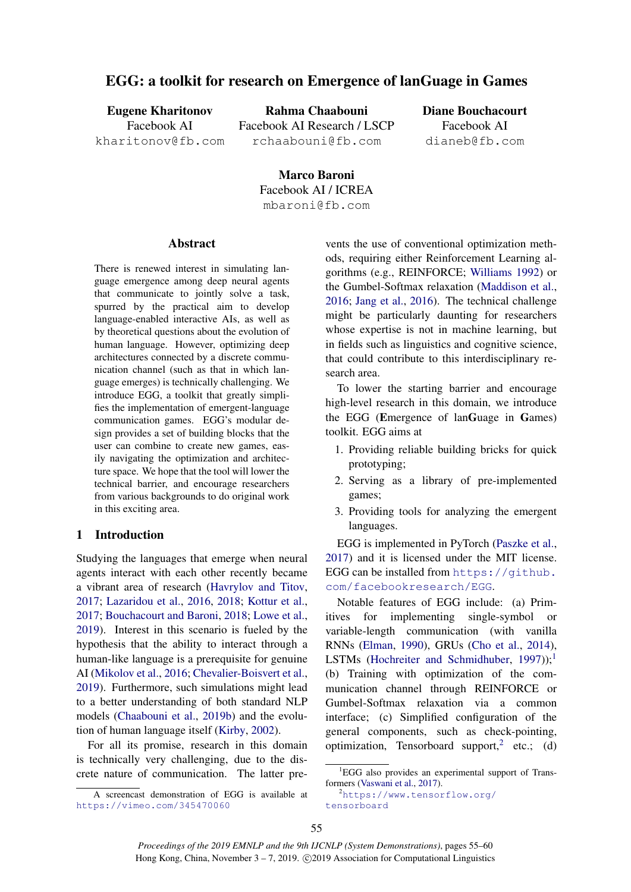# EGG: a toolkit for research on Emergence of lanGuage in Games

Eugene Kharitonov Facebook AI kharitonov@fb.com

Rahma Chaabouni Facebook AI Research / LSCP rchaabouni@fb.com

Diane Bouchacourt Facebook AI dianeb@fb.com

Marco Baroni Facebook AI / ICREA mbaroni@fb.com

### Abstract

There is renewed interest in simulating language emergence among deep neural agents that communicate to jointly solve a task, spurred by the practical aim to develop language-enabled interactive AIs, as well as by theoretical questions about the evolution of human language. However, optimizing deep architectures connected by a discrete communication channel (such as that in which language emerges) is technically challenging. We introduce EGG, a toolkit that greatly simplifies the implementation of emergent-language communication games. EGG's modular design provides a set of building blocks that the user can combine to create new games, easily navigating the optimization and architecture space. We hope that the tool will lower the technical barrier, and encourage researchers from various backgrounds to do original work in this exciting area.

### 1 Introduction

Studying the languages that emerge when neural agents interact with each other recently became a vibrant area of research [\(Havrylov and Titov,](#page-4-0) [2017;](#page-4-0) [Lazaridou et al.,](#page-5-0) [2016,](#page-5-0) [2018;](#page-5-1) [Kottur et al.,](#page-5-2) [2017;](#page-5-2) [Bouchacourt and Baroni,](#page-4-1) [2018;](#page-4-1) [Lowe et al.,](#page-5-3) [2019\)](#page-5-3). Interest in this scenario is fueled by the hypothesis that the ability to interact through a human-like language is a prerequisite for genuine AI [\(Mikolov et al.,](#page-5-4) [2016;](#page-5-4) [Chevalier-Boisvert et al.,](#page-4-2) [2019\)](#page-4-2). Furthermore, such simulations might lead to a better understanding of both standard NLP models [\(Chaabouni et al.,](#page-4-3) [2019b\)](#page-4-3) and the evolution of human language itself [\(Kirby,](#page-5-5) [2002\)](#page-5-5).

For all its promise, research in this domain is technically very challenging, due to the discrete nature of communication. The latter pre-

A screencast demonstration of EGG is available at <https://vimeo.com/345470060>

vents the use of conventional optimization methods, requiring either Reinforcement Learning algorithms (e.g., REINFORCE; [Williams](#page-5-6) [1992\)](#page-5-6) or the Gumbel-Softmax relaxation [\(Maddison et al.,](#page-5-7) [2016;](#page-5-7) [Jang et al.,](#page-5-8) [2016\)](#page-5-8). The technical challenge might be particularly daunting for researchers whose expertise is not in machine learning, but in fields such as linguistics and cognitive science, that could contribute to this interdisciplinary research area.

To lower the starting barrier and encourage high-level research in this domain, we introduce the EGG (Emergence of lanGuage in Games) toolkit. EGG aims at

- 1. Providing reliable building bricks for quick prototyping;
- 2. Serving as a library of pre-implemented games;
- 3. Providing tools for analyzing the emergent languages.

EGG is implemented in PyTorch [\(Paszke et al.,](#page-5-9) [2017\)](#page-5-9) and it is licensed under the MIT license. EGG can be installed from [https://github.](https://github.com/facebookresearch/EGG) [com/facebookresearch/EGG](https://github.com/facebookresearch/EGG).

Notable features of EGG include: (a) Primitives for implementing single-symbol or variable-length communication (with vanilla RNNs [\(Elman,](#page-4-4) [1990\)](#page-4-4), GRUs [\(Cho et al.,](#page-4-5) [2014\)](#page-4-5), LSTMs [\(Hochreiter and Schmidhuber,](#page-5-10)  $1997$  $1997$ ));<sup>1</sup> (b) Training with optimization of the communication channel through REINFORCE or Gumbel-Softmax relaxation via a common interface; (c) Simplified configuration of the general components, such as check-pointing, optimization, Tensorboard support,<sup>[2](#page-0-1)</sup> etc.; (d)

<span id="page-0-0"></span><sup>&</sup>lt;sup>1</sup>EGG also provides an experimental support of Transformers [\(Vaswani et al.,](#page-5-11) [2017\)](#page-5-11).

<span id="page-0-1"></span><sup>&</sup>lt;sup>2</sup>[https://www.tensorflow.org/](https://www.tensorflow.org/tensorboard) [tensorboard](https://www.tensorflow.org/tensorboard)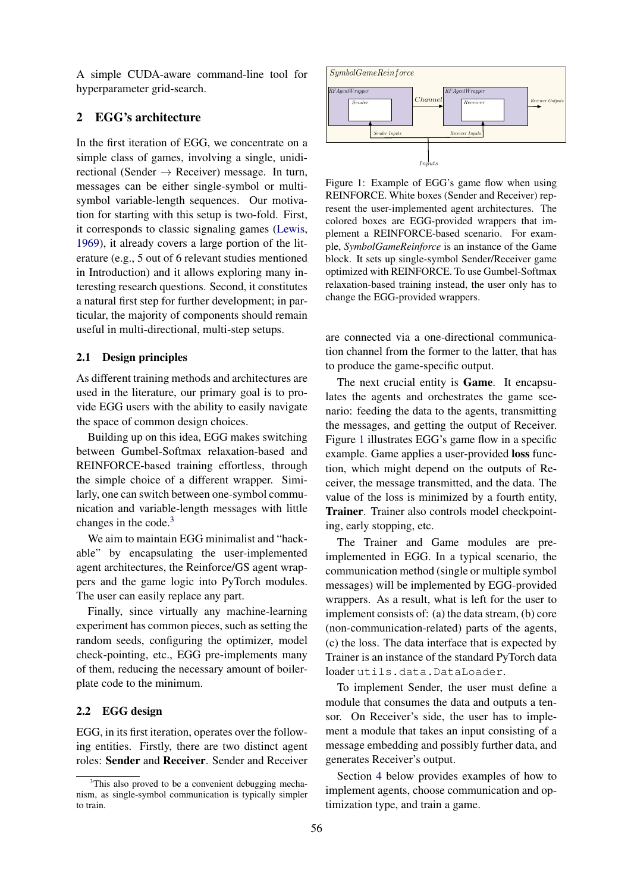A simple CUDA-aware command-line tool for hyperparameter grid-search.

## 2 EGG's architecture

In the first iteration of EGG, we concentrate on a simple class of games, involving a single, unidirectional (Sender  $\rightarrow$  Receiver) message. In turn, messages can be either single-symbol or multisymbol variable-length sequences. Our motivation for starting with this setup is two-fold. First, it corresponds to classic signaling games [\(Lewis,](#page-5-12) [1969\)](#page-5-12), it already covers a large portion of the literature (e.g., 5 out of 6 relevant studies mentioned in Introduction) and it allows exploring many interesting research questions. Second, it constitutes a natural first step for further development; in particular, the majority of components should remain useful in multi-directional, multi-step setups.

### 2.1 Design principles

As different training methods and architectures are used in the literature, our primary goal is to provide EGG users with the ability to easily navigate the space of common design choices.

Building up on this idea, EGG makes switching between Gumbel-Softmax relaxation-based and REINFORCE-based training effortless, through the simple choice of a different wrapper. Similarly, one can switch between one-symbol communication and variable-length messages with little changes in the code. $3$ 

We aim to maintain EGG minimalist and "hackable" by encapsulating the user-implemented agent architectures, the Reinforce/GS agent wrappers and the game logic into PyTorch modules. The user can easily replace any part.

Finally, since virtually any machine-learning experiment has common pieces, such as setting the random seeds, configuring the optimizer, model check-pointing, etc., EGG pre-implements many of them, reducing the necessary amount of boilerplate code to the minimum.

### 2.2 EGG design

EGG, in its first iteration, operates over the following entities. Firstly, there are two distinct agent roles: Sender and Receiver. Sender and Receiver

<span id="page-1-1"></span>

Figure 1: Example of EGG's game flow when using REINFORCE. White boxes (Sender and Receiver) represent the user-implemented agent architectures. The colored boxes are EGG-provided wrappers that implement a REINFORCE-based scenario. For example, *SymbolGameReinforce* is an instance of the Game block. It sets up single-symbol Sender/Receiver game optimized with REINFORCE. To use Gumbel-Softmax relaxation-based training instead, the user only has to change the EGG-provided wrappers.

are connected via a one-directional communication channel from the former to the latter, that has to produce the game-specific output.

The next crucial entity is Game. It encapsulates the agents and orchestrates the game scenario: feeding the data to the agents, transmitting the messages, and getting the output of Receiver. Figure [1](#page-1-1) illustrates EGG's game flow in a specific example. Game applies a user-provided loss function, which might depend on the outputs of Receiver, the message transmitted, and the data. The value of the loss is minimized by a fourth entity, Trainer. Trainer also controls model checkpointing, early stopping, etc.

The Trainer and Game modules are preimplemented in EGG. In a typical scenario, the communication method (single or multiple symbol messages) will be implemented by EGG-provided wrappers. As a result, what is left for the user to implement consists of: (a) the data stream, (b) core (non-communication-related) parts of the agents, (c) the loss. The data interface that is expected by Trainer is an instance of the standard PyTorch data loader utils.data.DataLoader.

To implement Sender, the user must define a module that consumes the data and outputs a tensor. On Receiver's side, the user has to implement a module that takes an input consisting of a message embedding and possibly further data, and generates Receiver's output.

Section [4](#page-2-0) below provides examples of how to implement agents, choose communication and optimization type, and train a game.

<span id="page-1-0"></span> $3$ This also proved to be a convenient debugging mechanism, as single-symbol communication is typically simpler to train.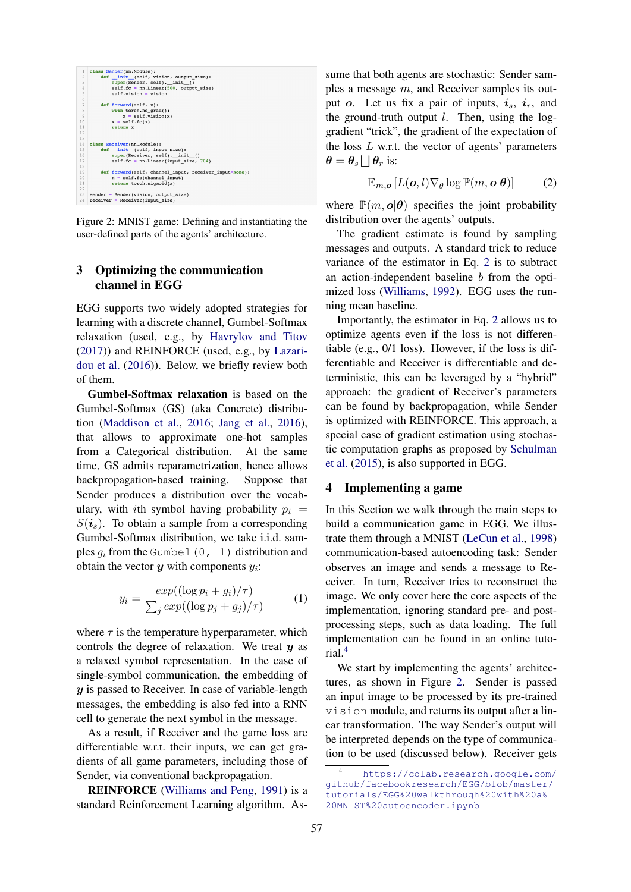<span id="page-2-3"></span>

Figure 2: MNIST game: Defining and instantiating the user-defined parts of the agents' architecture.

### 3 Optimizing the communication channel in EGG

EGG supports two widely adopted strategies for learning with a discrete channel, Gumbel-Softmax relaxation (used, e.g., by [Havrylov and Titov](#page-4-0) [\(2017\)](#page-4-0)) and REINFORCE (used, e.g., by [Lazari](#page-5-0)[dou et al.](#page-5-0) [\(2016\)](#page-5-0)). Below, we briefly review both of them.

Gumbel-Softmax relaxation is based on the Gumbel-Softmax (GS) (aka Concrete) distribution [\(Maddison et al.,](#page-5-7) [2016;](#page-5-7) [Jang et al.,](#page-5-8) [2016\)](#page-5-8), that allows to approximate one-hot samples from a Categorical distribution. At the same time, GS admits reparametrization, hence allows backpropagation-based training. Suppose that Sender produces a distribution over the vocabulary, with ith symbol having probability  $p_i$  =  $S(i<sub>s</sub>)$ . To obtain a sample from a corresponding Gumbel-Softmax distribution, we take i.i.d. samples  $q_i$  from the Gumbel (0, 1) distribution and obtain the vector  $y$  with components  $y_i$ :

$$
y_i = \frac{exp((\log p_i + g_i)/\tau)}{\sum_j exp((\log p_j + g_j)/\tau)}
$$
(1)

where  $\tau$  is the temperature hyperparameter, which controls the degree of relaxation. We treat  $y$  as a relaxed symbol representation. In the case of single-symbol communication, the embedding of  $y$  is passed to Receiver. In case of variable-length messages, the embedding is also fed into a RNN cell to generate the next symbol in the message.

As a result, if Receiver and the game loss are differentiable w.r.t. their inputs, we can get gradients of all game parameters, including those of Sender, via conventional backpropagation.

REINFORCE [\(Williams and Peng,](#page-5-13) [1991\)](#page-5-13) is a standard Reinforcement Learning algorithm. As-

sume that both agents are stochastic: Sender samples a message m, and Receiver samples its output o. Let us fix a pair of inputs,  $i_s$ ,  $i_r$ , and the ground-truth output  $l$ . Then, using the loggradient "trick", the gradient of the expectation of the loss  $L$  w.r.t. the vector of agents' parameters  $\theta = \theta_s \bigsqcup \theta_r$  is:

<span id="page-2-1"></span>
$$
\mathbb{E}_{m,\boldsymbol{o}}\left[L(\boldsymbol{o},l)\nabla_{\theta}\log\mathbb{P}(m,\boldsymbol{o}|\boldsymbol{\theta})\right]
$$
 (2)

where  $\mathbb{P}(m, o | \theta)$  specifies the joint probability distribution over the agents' outputs.

The gradient estimate is found by sampling messages and outputs. A standard trick to reduce variance of the estimator in Eq. [2](#page-2-1) is to subtract an action-independent baseline b from the optimized loss [\(Williams,](#page-5-6) [1992\)](#page-5-6). EGG uses the running mean baseline.

Importantly, the estimator in Eq. [2](#page-2-1) allows us to optimize agents even if the loss is not differentiable (e.g., 0/1 loss). However, if the loss is differentiable and Receiver is differentiable and deterministic, this can be leveraged by a "hybrid" approach: the gradient of Receiver's parameters can be found by backpropagation, while Sender is optimized with REINFORCE. This approach, a special case of gradient estimation using stochastic computation graphs as proposed by [Schulman](#page-5-14) [et al.](#page-5-14) [\(2015\)](#page-5-14), is also supported in EGG.

### <span id="page-2-0"></span>4 Implementing a game

In this Section we walk through the main steps to build a communication game in EGG. We illustrate them through a MNIST [\(LeCun et al.,](#page-5-15) [1998\)](#page-5-15) communication-based autoencoding task: Sender observes an image and sends a message to Receiver. In turn, Receiver tries to reconstruct the image. We only cover here the core aspects of the implementation, ignoring standard pre- and postprocessing steps, such as data loading. The full implementation can be found in an online tutorial.[4](#page-2-2)

We start by implementing the agents' architectures, as shown in Figure [2.](#page-2-3) Sender is passed an input image to be processed by its pre-trained vision module, and returns its output after a linear transformation. The way Sender's output will be interpreted depends on the type of communication to be used (discussed below). Receiver gets

<span id="page-2-2"></span>[https://colab.research.google.com/](https://colab.research.google.com/github/facebookresearch/EGG/blob/master/tutorials/EGG%20walkthrough%20with%20a%20MNIST%20autoencoder.ipynb) [github/facebookresearch/EGG/blob/master/](https://colab.research.google.com/github/facebookresearch/EGG/blob/master/tutorials/EGG%20walkthrough%20with%20a%20MNIST%20autoencoder.ipynb) [tutorials/EGG%20walkthrough%20with%20a%](https://colab.research.google.com/github/facebookresearch/EGG/blob/master/tutorials/EGG%20walkthrough%20with%20a%20MNIST%20autoencoder.ipynb) [20MNIST%20autoencoder.ipynb](https://colab.research.google.com/github/facebookresearch/EGG/blob/master/tutorials/EGG%20walkthrough%20with%20a%20MNIST%20autoencoder.ipynb)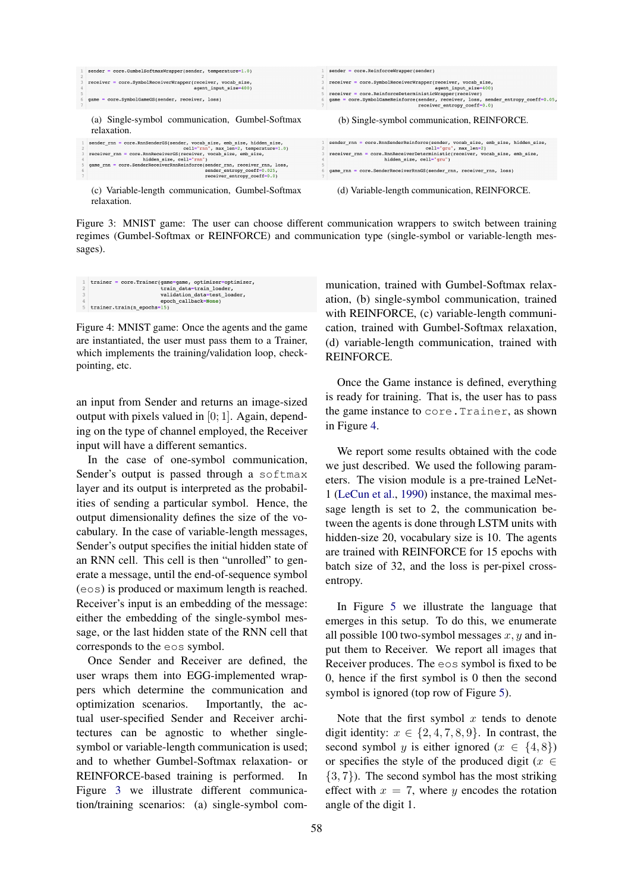<span id="page-3-0"></span>

Figure 3: MNIST game: The user can choose different communication wrappers to switch between training regimes (Gumbel-Softmax or REINFORCE) and communication type (single-symbol or variable-length messages).

<span id="page-3-1"></span>

Figure 4: MNIST game: Once the agents and the game are instantiated, the user must pass them to a Trainer, which implements the training/validation loop, checkpointing, etc.

an input from Sender and returns an image-sized output with pixels valued in [0; 1]. Again, depending on the type of channel employed, the Receiver input will have a different semantics.

In the case of one-symbol communication, Sender's output is passed through a softmax layer and its output is interpreted as the probabilities of sending a particular symbol. Hence, the output dimensionality defines the size of the vocabulary. In the case of variable-length messages, Sender's output specifies the initial hidden state of an RNN cell. This cell is then "unrolled" to generate a message, until the end-of-sequence symbol (eos) is produced or maximum length is reached. Receiver's input is an embedding of the message: either the embedding of the single-symbol message, or the last hidden state of the RNN cell that corresponds to the eos symbol.

Once Sender and Receiver are defined, the user wraps them into EGG-implemented wrappers which determine the communication and optimization scenarios. Importantly, the actual user-specified Sender and Receiver architectures can be agnostic to whether singlesymbol or variable-length communication is used; and to whether Gumbel-Softmax relaxation- or REINFORCE-based training is performed. In Figure [3](#page-3-0) we illustrate different communication/training scenarios: (a) single-symbol communication, trained with Gumbel-Softmax relaxation, (b) single-symbol communication, trained with REINFORCE, (c) variable-length communication, trained with Gumbel-Softmax relaxation, (d) variable-length communication, trained with REINFORCE.

Once the Game instance is defined, everything is ready for training. That is, the user has to pass the game instance to core.Trainer, as shown in Figure [4.](#page-3-1)

We report some results obtained with the code we just described. We used the following parameters. The vision module is a pre-trained LeNet-1 [\(LeCun et al.,](#page-5-16) [1990\)](#page-5-16) instance, the maximal message length is set to 2, the communication between the agents is done through LSTM units with hidden-size 20, vocabulary size is 10. The agents are trained with REINFORCE for 15 epochs with batch size of 32, and the loss is per-pixel crossentropy.

In Figure [5](#page-4-6) we illustrate the language that emerges in this setup. To do this, we enumerate all possible 100 two-symbol messages  $x, y$  and input them to Receiver. We report all images that Receiver produces. The eos symbol is fixed to be 0, hence if the first symbol is 0 then the second symbol is ignored (top row of Figure [5\)](#page-4-6).

Note that the first symbol  $x$  tends to denote digit identity:  $x \in \{2, 4, 7, 8, 9\}$ . In contrast, the second symbol y is either ignored ( $x \in \{4, 8\}$ ) or specifies the style of the produced digit ( $x \in$  $\{3, 7\}$ ). The second symbol has the most striking effect with  $x = 7$ , where y encodes the rotation angle of the digit 1.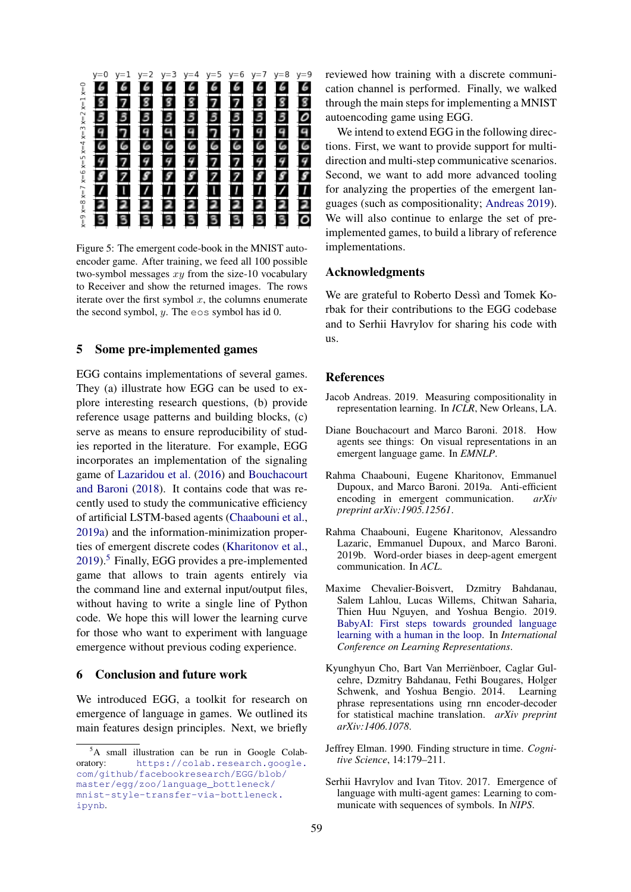<span id="page-4-6"></span>

Figure 5: The emergent code-book in the MNIST autoencoder game. After training, we feed all 100 possible two-symbol messages  $x\bar{y}$  from the size-10 vocabulary to Receiver and show the returned images. The rows iterate over the first symbol  $x$ , the columns enumerate the second symbol,  $y$ . The eos symbol has id 0.

#### 5 Some pre-implemented games

EGG contains implementations of several games. They (a) illustrate how EGG can be used to explore interesting research questions, (b) provide reference usage patterns and building blocks, (c) serve as means to ensure reproducibility of studies reported in the literature. For example, EGG incorporates an implementation of the signaling game of [Lazaridou et al.](#page-5-0) [\(2016\)](#page-5-0) and [Bouchacourt](#page-4-1) [and Baroni](#page-4-1) [\(2018\)](#page-4-1). It contains code that was recently used to study the communicative efficiency of artificial LSTM-based agents [\(Chaabouni et al.,](#page-4-7) [2019a\)](#page-4-7) and the information-minimization properties of emergent discrete codes [\(Kharitonov et al.,](#page-5-17) [2019\)](#page-5-17).[5](#page-4-8) Finally, EGG provides a pre-implemented game that allows to train agents entirely via the command line and external input/output files, without having to write a single line of Python code. We hope this will lower the learning curve for those who want to experiment with language emergence without previous coding experience.

### 6 Conclusion and future work

We introduced EGG, a toolkit for research on emergence of language in games. We outlined its main features design principles. Next, we briefly reviewed how training with a discrete communication channel is performed. Finally, we walked through the main steps for implementing a MNIST autoencoding game using EGG.

We intend to extend EGG in the following directions. First, we want to provide support for multidirection and multi-step communicative scenarios. Second, we want to add more advanced tooling for analyzing the properties of the emergent languages (such as compositionality; [Andreas](#page-4-9) [2019\)](#page-4-9). We will also continue to enlarge the set of preimplemented games, to build a library of reference implementations.

### Acknowledgments

We are grateful to Roberto Dessì and Tomek Korbak for their contributions to the EGG codebase and to Serhii Havrylov for sharing his code with us.

### **References**

- <span id="page-4-9"></span>Jacob Andreas. 2019. Measuring compositionality in representation learning. In *ICLR*, New Orleans, LA.
- <span id="page-4-1"></span>Diane Bouchacourt and Marco Baroni. 2018. How agents see things: On visual representations in an emergent language game. In *EMNLP*.
- <span id="page-4-7"></span>Rahma Chaabouni, Eugene Kharitonov, Emmanuel Dupoux, and Marco Baroni. 2019a. Anti-efficient encoding in emergent communication. *arXiv preprint arXiv:1905.12561*.
- <span id="page-4-3"></span>Rahma Chaabouni, Eugene Kharitonov, Alessandro Lazaric, Emmanuel Dupoux, and Marco Baroni. 2019b. Word-order biases in deep-agent emergent communication. In *ACL*.
- <span id="page-4-2"></span>Maxime Chevalier-Boisvert, Dzmitry Bahdanau, Salem Lahlou, Lucas Willems, Chitwan Saharia, Thien Huu Nguyen, and Yoshua Bengio. 2019. [BabyAI: First steps towards grounded language](https://openreview.net/forum?id=rJeXCo0cYX) [learning with a human in the loop.](https://openreview.net/forum?id=rJeXCo0cYX) In *International Conference on Learning Representations*.
- <span id="page-4-5"></span>Kyunghyun Cho, Bart Van Merrienboer, Caglar Gul- ¨ cehre, Dzmitry Bahdanau, Fethi Bougares, Holger Schwenk, and Yoshua Bengio. 2014. Learning phrase representations using rnn encoder-decoder for statistical machine translation. *arXiv preprint arXiv:1406.1078*.
- <span id="page-4-4"></span>Jeffrey Elman. 1990. Finding structure in time. *Cognitive Science*, 14:179–211.
- <span id="page-4-0"></span>Serhii Havrylov and Ivan Titov. 2017. Emergence of language with multi-agent games: Learning to communicate with sequences of symbols. In *NIPS*.

<span id="page-4-8"></span><sup>5</sup>A small illustration can be run in Google Colaboratory: [https://colab.research.google.](https://colab.research.google.com/github/facebookresearch/EGG/blob/master/egg/zoo/language_bottleneck/mnist-style-transfer-via-bottleneck.ipynb) [com/github/facebookresearch/EGG/blob/](https://colab.research.google.com/github/facebookresearch/EGG/blob/master/egg/zoo/language_bottleneck/mnist-style-transfer-via-bottleneck.ipynb) [master/egg/zoo/language\\_bottleneck/](https://colab.research.google.com/github/facebookresearch/EGG/blob/master/egg/zoo/language_bottleneck/mnist-style-transfer-via-bottleneck.ipynb) [mnist-style-transfer-via-bottleneck.](https://colab.research.google.com/github/facebookresearch/EGG/blob/master/egg/zoo/language_bottleneck/mnist-style-transfer-via-bottleneck.ipynb) [ipynb](https://colab.research.google.com/github/facebookresearch/EGG/blob/master/egg/zoo/language_bottleneck/mnist-style-transfer-via-bottleneck.ipynb).